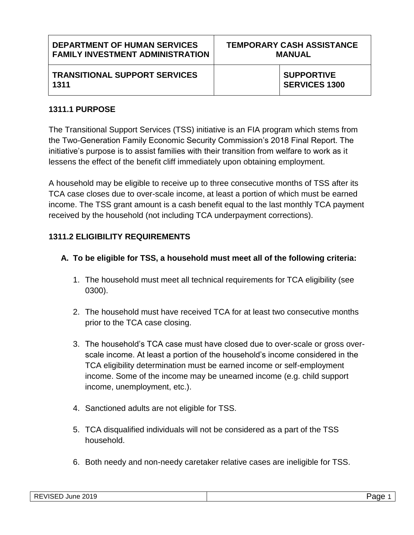| <b>DEPARTMENT OF HUMAN SERVICES</b>          | <b>TEMPORARY CASH ASSISTANCE</b> |                                           |
|----------------------------------------------|----------------------------------|-------------------------------------------|
| <b>FAMILY INVESTMENT ADMINISTRATION</b>      | <b>MANUAL</b>                    |                                           |
| <b>TRANSITIONAL SUPPORT SERVICES</b><br>1311 |                                  | <b>SUPPORTIVE</b><br><b>SERVICES 1300</b> |

#### **1311.1 PURPOSE**

The Transitional Support Services (TSS) initiative is an FIA program which stems from the Two-Generation Family Economic Security Commission's 2018 Final Report. The initiative's purpose is to assist families with their transition from welfare to work as it lessens the effect of the benefit cliff immediately upon obtaining employment.

A household may be eligible to receive up to three consecutive months of TSS after its TCA case closes due to over-scale income, at least a portion of which must be earned income. The TSS grant amount is a cash benefit equal to the last monthly TCA payment received by the household (not including TCA underpayment corrections).

## **1311.2 ELIGIBILITY REQUIREMENTS**

- **A. To be eligible for TSS, a household must meet all of the following criteria:**
	- 1. The household must meet all technical requirements for TCA eligibility (see 0300).
	- 2. The household must have received TCA for at least two consecutive months prior to the TCA case closing.
	- 3. The household's TCA case must have closed due to over-scale or gross overscale income. At least a portion of the household's income considered in the TCA eligibility determination must be earned income or self-employment income. Some of the income may be unearned income (e.g. child support income, unemployment, etc.).
	- 4. Sanctioned adults are not eligible for TSS.
	- 5. TCA disqualified individuals will not be considered as a part of the TSS household.
	- 6. Both needy and non-needy caretaker relative cases are ineligible for TSS.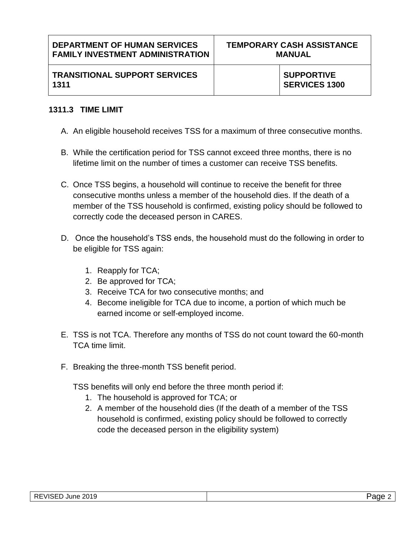**TRANSITIONAL SUPPORT SERVICES 1311**

# **1311.3 TIME LIMIT**

- A. An eligible household receives TSS for a maximum of three consecutive months.
- B. While the certification period for TSS cannot exceed three months, there is no lifetime limit on the number of times a customer can receive TSS benefits.
- C. Once TSS begins, a household will continue to receive the benefit for three consecutive months unless a member of the household dies. If the death of a member of the TSS household is confirmed, existing policy should be followed to correctly code the deceased person in CARES.
- D. Once the household's TSS ends, the household must do the following in order to be eligible for TSS again:
	- 1. Reapply for TCA;
	- 2. Be approved for TCA;
	- 3. Receive TCA for two consecutive months; and
	- 4. Become ineligible for TCA due to income, a portion of which much be earned income or self-employed income.
- E. TSS is not TCA. Therefore any months of TSS do not count toward the 60-month TCA time limit.
- F. Breaking the three-month TSS benefit period.

TSS benefits will only end before the three month period if:

- 1. The household is approved for TCA; or
- 2. A member of the household dies (If the death of a member of the TSS household is confirmed, existing policy should be followed to correctly code the deceased person in the eligibility system)